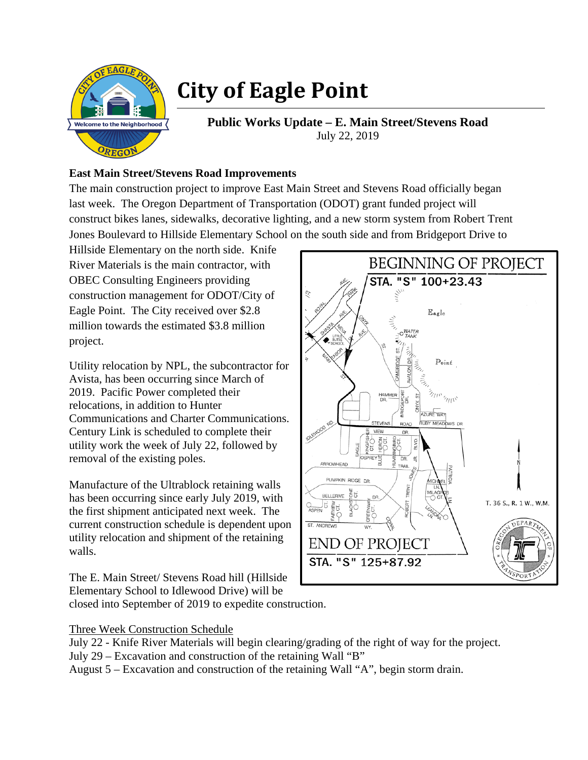

## **City of Eagle Point**

**Public Works Update – E. Main Street/Stevens Road**  July 22, 2019

## **East Main Street/Stevens Road Improvements**

The main construction project to improve East Main Street and Stevens Road officially began last week. The Oregon Department of Transportation (ODOT) grant funded project will construct bikes lanes, sidewalks, decorative lighting, and a new storm system from Robert Trent Jones Boulevard to Hillside Elementary School on the south side and from Bridgeport Drive to

Hillside Elementary on the north side. Knife River Materials is the main contractor, with OBEC Consulting Engineers providing construction management for ODOT/City of Eagle Point. The City received over \$2.8 million towards the estimated \$3.8 million project.

Utility relocation by NPL, the subcontractor for Avista, has been occurring since March of 2019. Pacific Power completed their relocations, in addition to Hunter Communications and Charter Communications. Century Link is scheduled to complete their utility work the week of July 22, followed by removal of the existing poles.

Manufacture of the Ultrablock retaining walls has been occurring since early July 2019, with the first shipment anticipated next week. The current construction schedule is dependent upon utility relocation and shipment of the retaining walls.

The E. Main Street/ Stevens Road hill (Hillside Elementary School to Idlewood Drive) will be closed into September of 2019 to expedite construction.



Three Week Construction Schedule

- July 22 Knife River Materials will begin clearing/grading of the right of way for the project.
- July 29 Excavation and construction of the retaining Wall "B"

August 5 – Excavation and construction of the retaining Wall "A", begin storm drain.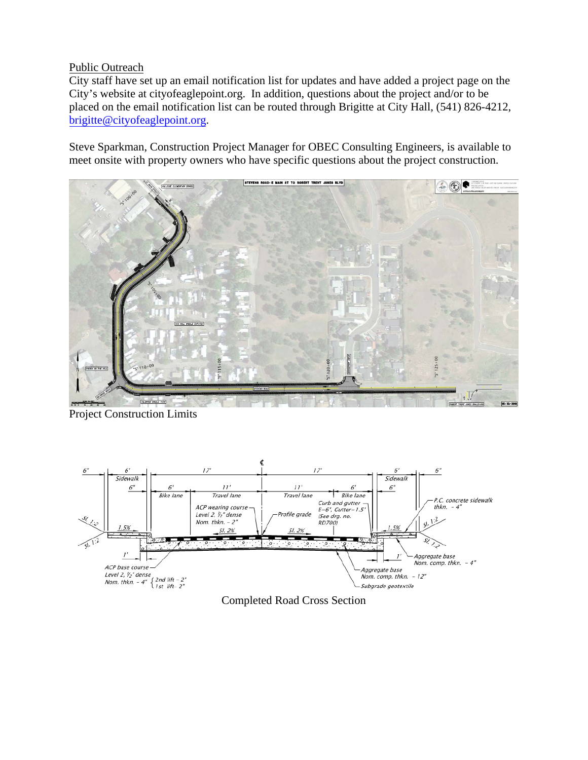## Public Outreach

City staff have set up an email notification list for updates and have added a project page on the City's website at cityofeaglepoint.org. In addition, questions about the project and/or to be placed on the email notification list can be routed through Brigitte at City Hall, (541) 826-4212, brigitte@cityofeaglepoint.org.

Steve Sparkman, Construction Project Manager for OBEC Consulting Engineers, is available to meet onsite with property owners who have specific questions about the project construction.



Project Construction Limits